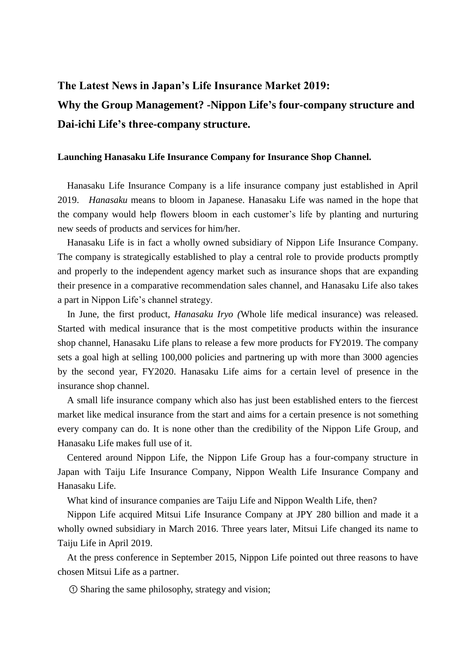## **The Latest News in Japan's Life Insurance Market 2019: Why the Group Management? -Nippon Life's four-company structure and Dai-ichi Life's three-company structure.**

## **Launching Hanasaku Life Insurance Company for Insurance Shop Channel.**

Hanasaku Life Insurance Company is a life insurance company just established in April 2019. *Hanasaku* means to bloom in Japanese. Hanasaku Life was named in the hope that the company would help flowers bloom in each customer's life by planting and nurturing new seeds of products and services for him/her.

Hanasaku Life is in fact a wholly owned subsidiary of Nippon Life Insurance Company. The company is strategically established to play a central role to provide products promptly and properly to the independent agency market such as insurance shops that are expanding their presence in a comparative recommendation sales channel, and Hanasaku Life also takes a part in Nippon Life's channel strategy.

In June, the first product, *Hanasaku Iryo (*Whole life medical insurance) was released. Started with medical insurance that is the most competitive products within the insurance shop channel, Hanasaku Life plans to release a few more products for FY2019. The company sets a goal high at selling 100,000 policies and partnering up with more than 3000 agencies by the second year, FY2020. Hanasaku Life aims for a certain level of presence in the insurance shop channel.

A small life insurance company which also has just been established enters to the fiercest market like medical insurance from the start and aims for a certain presence is not something every company can do. It is none other than the credibility of the Nippon Life Group, and Hanasaku Life makes full use of it.

Centered around Nippon Life, the Nippon Life Group has a four-company structure in Japan with Taiju Life Insurance Company, Nippon Wealth Life Insurance Company and Hanasaku Life.

What kind of insurance companies are Taiju Life and Nippon Wealth Life, then?

Nippon Life acquired Mitsui Life Insurance Company at JPY 280 billion and made it a wholly owned subsidiary in March 2016. Three years later, Mitsui Life changed its name to Taiju Life in April 2019.

At the press conference in September 2015, Nippon Life pointed out three reasons to have chosen Mitsui Life as a partner.

① Sharing the same philosophy, strategy and vision;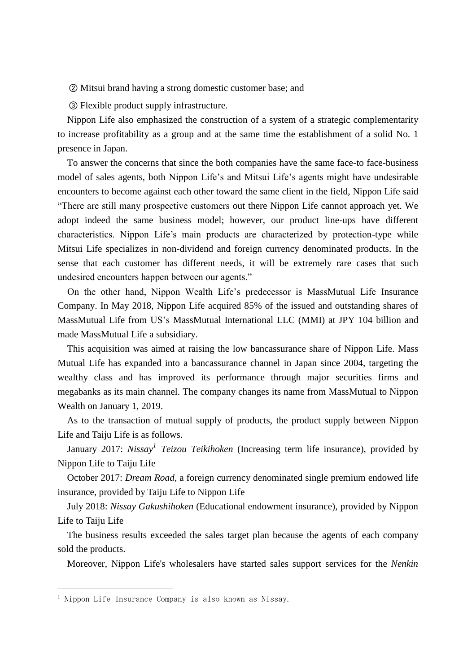② Mitsui brand having a strong domestic customer base; and

③ Flexible product supply infrastructure.

Nippon Life also emphasized the construction of a system of a strategic complementarity to increase profitability as a group and at the same time the establishment of a solid No. 1 presence in Japan.

To answer the concerns that since the both companies have the same face-to face-business model of sales agents, both Nippon Life's and Mitsui Life's agents might have undesirable encounters to become against each other toward the same client in the field, Nippon Life said "There are still many prospective customers out there Nippon Life cannot approach yet. We adopt indeed the same business model; however, our product line-ups have different characteristics. Nippon Life's main products are characterized by protection-type while Mitsui Life specializes in non-dividend and foreign currency denominated products. In the sense that each customer has different needs, it will be extremely rare cases that such undesired encounters happen between our agents."

On the other hand, Nippon Wealth Life's predecessor is MassMutual Life Insurance Company. In May 2018, Nippon Life acquired 85% of the issued and outstanding shares of MassMutual Life from US's MassMutual International LLC (MMI) at JPY 104 billion and made MassMutual Life a subsidiary.

This acquisition was aimed at raising the low bancassurance share of Nippon Life. Mass Mutual Life has expanded into a bancassurance channel in Japan since 2004, targeting the wealthy class and has improved its performance through major securities firms and megabanks as its main channel. The company changes its name from MassMutual to Nippon Wealth on January 1, 2019.

As to the transaction of mutual supply of products, the product supply between Nippon Life and Taiju Life is as follows.

January 2017: *Nissay<sup>1</sup> Teizou Teikihoken* (Increasing term life insurance), provided by Nippon Life to Taiju Life

October 2017: *Dream Road*, a foreign currency denominated single premium endowed life insurance, provided by Taiju Life to Nippon Life

July 2018: *Nissay Gakushihoken* (Educational endowment insurance), provided by Nippon Life to Taiju Life

The business results exceeded the sales target plan because the agents of each company sold the products.

Moreover, Nippon Life's wholesalers have started sales support services for the *Nenkin* 

-

<sup>&</sup>lt;sup>1</sup> Nippon Life Insurance Company is also known as Nissay.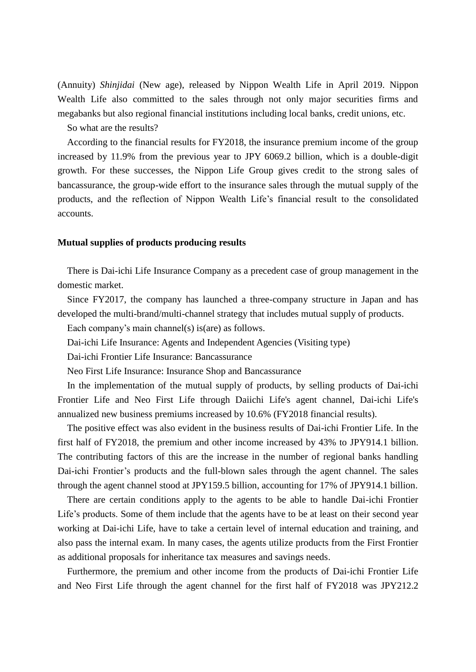(Annuity) *Shinjidai* (New age), released by Nippon Wealth Life in April 2019. Nippon Wealth Life also committed to the sales through not only major securities firms and megabanks but also regional financial institutions including local banks, credit unions, etc.

So what are the results?

According to the financial results for FY2018, the insurance premium income of the group increased by 11.9% from the previous year to JPY 6069.2 billion, which is a double-digit growth. For these successes, the Nippon Life Group gives credit to the strong sales of bancassurance, the group-wide effort to the insurance sales through the mutual supply of the products, and the reflection of Nippon Wealth Life's financial result to the consolidated accounts.

## **Mutual supplies of products producing results**

There is Dai-ichi Life Insurance Company as a precedent case of group management in the domestic market.

Since FY2017, the company has launched a three-company structure in Japan and has developed the multi-brand/multi-channel strategy that includes mutual supply of products.

Each company's main channel(s) is(are) as follows.

Dai-ichi Life Insurance: Agents and Independent Agencies (Visiting type)

Dai-ichi Frontier Life Insurance: Bancassurance

Neo First Life Insurance: Insurance Shop and Bancassurance

In the implementation of the mutual supply of products, by selling products of Dai-ichi Frontier Life and Neo First Life through Daiichi Life's agent channel, Dai-ichi Life's annualized new business premiums increased by 10.6% (FY2018 financial results).

The positive effect was also evident in the business results of Dai-ichi Frontier Life. In the first half of FY2018, the premium and other income increased by 43% to JPY914.1 billion. The contributing factors of this are the increase in the number of regional banks handling Dai-ichi Frontier's products and the full-blown sales through the agent channel. The sales through the agent channel stood at JPY159.5 billion, accounting for 17% of JPY914.1 billion.

There are certain conditions apply to the agents to be able to handle Dai-ichi Frontier Life's products. Some of them include that the agents have to be at least on their second year working at Dai-ichi Life, have to take a certain level of internal education and training, and also pass the internal exam. In many cases, the agents utilize products from the First Frontier as additional proposals for inheritance tax measures and savings needs.

Furthermore, the premium and other income from the products of Dai-ichi Frontier Life and Neo First Life through the agent channel for the first half of FY2018 was JPY212.2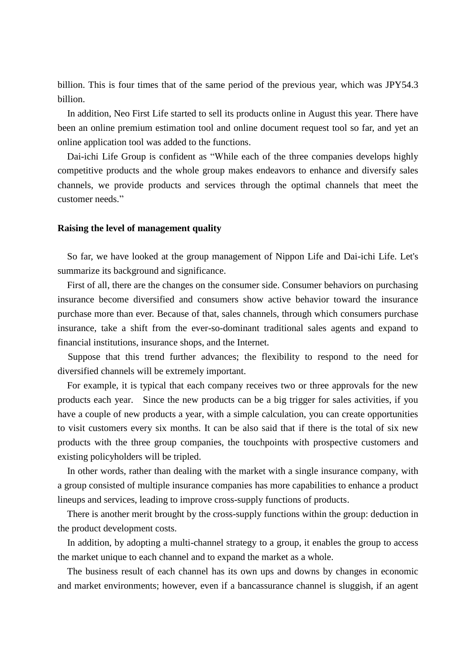billion. This is four times that of the same period of the previous year, which was JPY54.3 billion.

In addition, Neo First Life started to sell its products online in August this year. There have been an online premium estimation tool and online document request tool so far, and yet an online application tool was added to the functions.

Dai-ichi Life Group is confident as "While each of the three companies develops highly competitive products and the whole group makes endeavors to enhance and diversify sales channels, we provide products and services through the optimal channels that meet the customer needs."

## **Raising the level of management quality**

So far, we have looked at the group management of Nippon Life and Dai-ichi Life. Let's summarize its background and significance.

First of all, there are the changes on the consumer side. Consumer behaviors on purchasing insurance become diversified and consumers show active behavior toward the insurance purchase more than ever. Because of that, sales channels, through which consumers purchase insurance, take a shift from the ever-so-dominant traditional sales agents and expand to financial institutions, insurance shops, and the Internet.

Suppose that this trend further advances; the flexibility to respond to the need for diversified channels will be extremely important.

For example, it is typical that each company receives two or three approvals for the new products each year. Since the new products can be a big trigger for sales activities, if you have a couple of new products a year, with a simple calculation, you can create opportunities to visit customers every six months. It can be also said that if there is the total of six new products with the three group companies, the touchpoints with prospective customers and existing policyholders will be tripled.

In other words, rather than dealing with the market with a single insurance company, with a group consisted of multiple insurance companies has more capabilities to enhance a product lineups and services, leading to improve cross-supply functions of products.

There is another merit brought by the cross-supply functions within the group: deduction in the product development costs.

In addition, by adopting a multi-channel strategy to a group, it enables the group to access the market unique to each channel and to expand the market as a whole.

The business result of each channel has its own ups and downs by changes in economic and market environments; however, even if a bancassurance channel is sluggish, if an agent